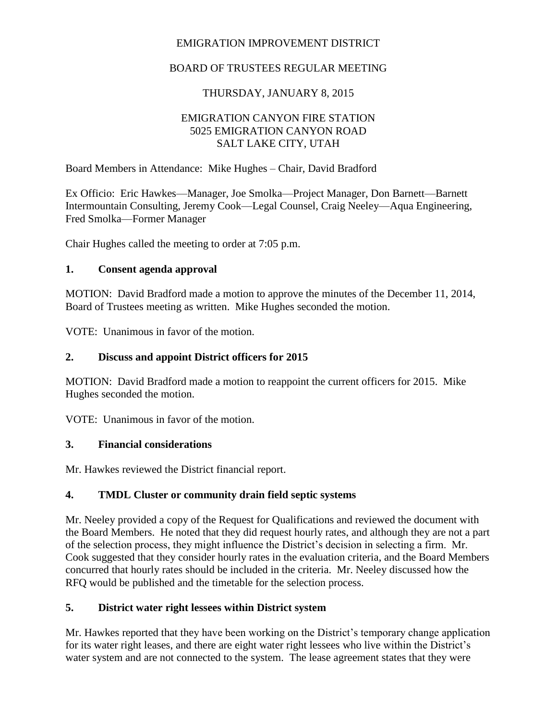## EMIGRATION IMPROVEMENT DISTRICT

## BOARD OF TRUSTEES REGULAR MEETING

## THURSDAY, JANUARY 8, 2015

### EMIGRATION CANYON FIRE STATION 5025 EMIGRATION CANYON ROAD SALT LAKE CITY, UTAH

Board Members in Attendance: Mike Hughes – Chair, David Bradford

Ex Officio: Eric Hawkes—Manager, Joe Smolka—Project Manager, Don Barnett—Barnett Intermountain Consulting, Jeremy Cook—Legal Counsel, Craig Neeley—Aqua Engineering, Fred Smolka—Former Manager

Chair Hughes called the meeting to order at 7:05 p.m.

#### **1. Consent agenda approval**

MOTION: David Bradford made a motion to approve the minutes of the December 11, 2014, Board of Trustees meeting as written. Mike Hughes seconded the motion.

VOTE: Unanimous in favor of the motion.

### **2. Discuss and appoint District officers for 2015**

MOTION: David Bradford made a motion to reappoint the current officers for 2015. Mike Hughes seconded the motion.

VOTE: Unanimous in favor of the motion.

### **3. Financial considerations**

Mr. Hawkes reviewed the District financial report.

### **4. TMDL Cluster or community drain field septic systems**

Mr. Neeley provided a copy of the Request for Qualifications and reviewed the document with the Board Members. He noted that they did request hourly rates, and although they are not a part of the selection process, they might influence the District's decision in selecting a firm. Mr. Cook suggested that they consider hourly rates in the evaluation criteria, and the Board Members concurred that hourly rates should be included in the criteria. Mr. Neeley discussed how the RFQ would be published and the timetable for the selection process.

### **5. District water right lessees within District system**

Mr. Hawkes reported that they have been working on the District's temporary change application for its water right leases, and there are eight water right lessees who live within the District's water system and are not connected to the system. The lease agreement states that they were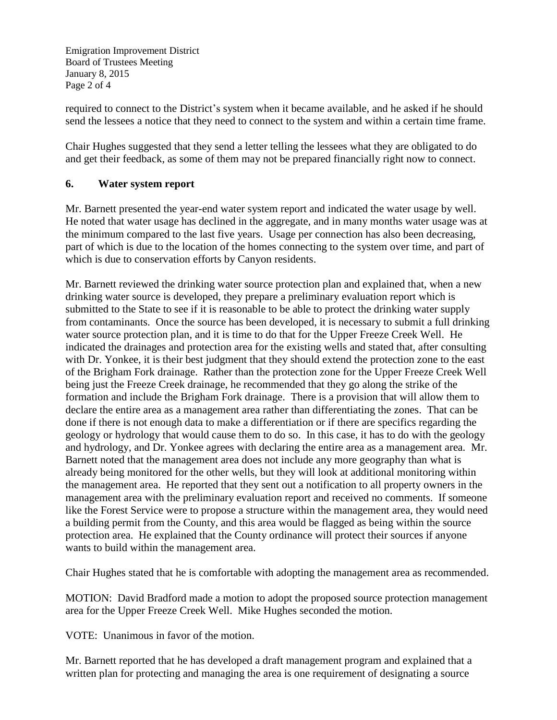Emigration Improvement District Board of Trustees Meeting January 8, 2015 Page 2 of 4

required to connect to the District's system when it became available, and he asked if he should send the lessees a notice that they need to connect to the system and within a certain time frame.

Chair Hughes suggested that they send a letter telling the lessees what they are obligated to do and get their feedback, as some of them may not be prepared financially right now to connect.

### **6. Water system report**

Mr. Barnett presented the year-end water system report and indicated the water usage by well. He noted that water usage has declined in the aggregate, and in many months water usage was at the minimum compared to the last five years. Usage per connection has also been decreasing, part of which is due to the location of the homes connecting to the system over time, and part of which is due to conservation efforts by Canyon residents.

Mr. Barnett reviewed the drinking water source protection plan and explained that, when a new drinking water source is developed, they prepare a preliminary evaluation report which is submitted to the State to see if it is reasonable to be able to protect the drinking water supply from contaminants. Once the source has been developed, it is necessary to submit a full drinking water source protection plan, and it is time to do that for the Upper Freeze Creek Well. He indicated the drainages and protection area for the existing wells and stated that, after consulting with Dr. Yonkee, it is their best judgment that they should extend the protection zone to the east of the Brigham Fork drainage. Rather than the protection zone for the Upper Freeze Creek Well being just the Freeze Creek drainage, he recommended that they go along the strike of the formation and include the Brigham Fork drainage. There is a provision that will allow them to declare the entire area as a management area rather than differentiating the zones. That can be done if there is not enough data to make a differentiation or if there are specifics regarding the geology or hydrology that would cause them to do so. In this case, it has to do with the geology and hydrology, and Dr. Yonkee agrees with declaring the entire area as a management area. Mr. Barnett noted that the management area does not include any more geography than what is already being monitored for the other wells, but they will look at additional monitoring within the management area. He reported that they sent out a notification to all property owners in the management area with the preliminary evaluation report and received no comments. If someone like the Forest Service were to propose a structure within the management area, they would need a building permit from the County, and this area would be flagged as being within the source protection area. He explained that the County ordinance will protect their sources if anyone wants to build within the management area.

Chair Hughes stated that he is comfortable with adopting the management area as recommended.

MOTION: David Bradford made a motion to adopt the proposed source protection management area for the Upper Freeze Creek Well. Mike Hughes seconded the motion.

VOTE: Unanimous in favor of the motion.

Mr. Barnett reported that he has developed a draft management program and explained that a written plan for protecting and managing the area is one requirement of designating a source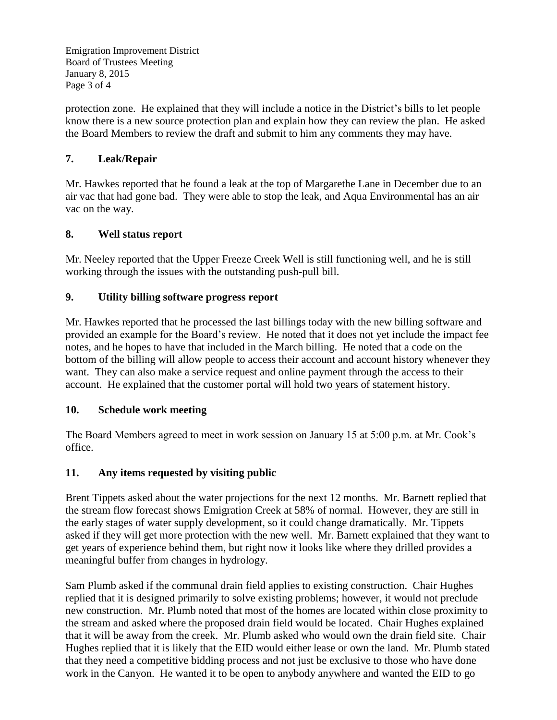Emigration Improvement District Board of Trustees Meeting January 8, 2015 Page 3 of 4

protection zone. He explained that they will include a notice in the District's bills to let people know there is a new source protection plan and explain how they can review the plan. He asked the Board Members to review the draft and submit to him any comments they may have.

## **7. Leak/Repair**

Mr. Hawkes reported that he found a leak at the top of Margarethe Lane in December due to an air vac that had gone bad. They were able to stop the leak, and Aqua Environmental has an air vac on the way.

## **8. Well status report**

Mr. Neeley reported that the Upper Freeze Creek Well is still functioning well, and he is still working through the issues with the outstanding push-pull bill.

## **9. Utility billing software progress report**

Mr. Hawkes reported that he processed the last billings today with the new billing software and provided an example for the Board's review. He noted that it does not yet include the impact fee notes, and he hopes to have that included in the March billing. He noted that a code on the bottom of the billing will allow people to access their account and account history whenever they want. They can also make a service request and online payment through the access to their account. He explained that the customer portal will hold two years of statement history.

### **10. Schedule work meeting**

The Board Members agreed to meet in work session on January 15 at 5:00 p.m. at Mr. Cook's office.

# **11. Any items requested by visiting public**

Brent Tippets asked about the water projections for the next 12 months. Mr. Barnett replied that the stream flow forecast shows Emigration Creek at 58% of normal. However, they are still in the early stages of water supply development, so it could change dramatically. Mr. Tippets asked if they will get more protection with the new well. Mr. Barnett explained that they want to get years of experience behind them, but right now it looks like where they drilled provides a meaningful buffer from changes in hydrology.

Sam Plumb asked if the communal drain field applies to existing construction. Chair Hughes replied that it is designed primarily to solve existing problems; however, it would not preclude new construction. Mr. Plumb noted that most of the homes are located within close proximity to the stream and asked where the proposed drain field would be located. Chair Hughes explained that it will be away from the creek. Mr. Plumb asked who would own the drain field site. Chair Hughes replied that it is likely that the EID would either lease or own the land. Mr. Plumb stated that they need a competitive bidding process and not just be exclusive to those who have done work in the Canyon. He wanted it to be open to anybody anywhere and wanted the EID to go